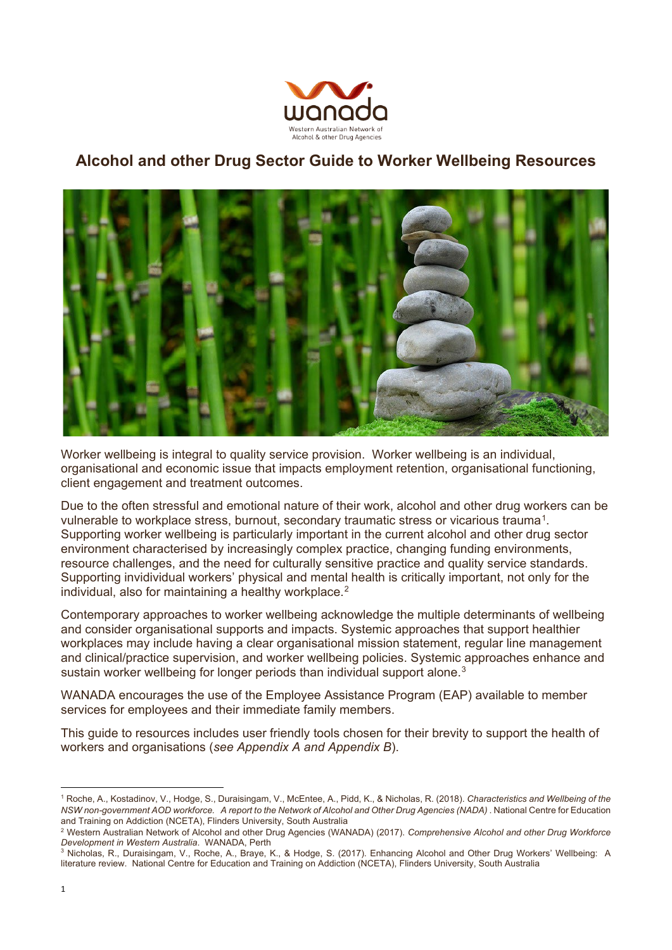

### **Alcohol and other Drug Sector Guide to Worker Wellbeing Resources**



Worker wellbeing is integral to quality service provision. Worker wellbeing is an individual, organisational and economic issue that impacts employment retention, organisational functioning, client engagement and treatment outcomes.

Due to the often stressful and emotional nature of their work, alcohol and other drug workers can be vulnerable to workplace stress, burnout, secondary traumatic stress or vicarious trauma[1.](#page-0-0) Supporting worker wellbeing is particularly important in the current alcohol and other drug sector environment characterised by increasingly complex practice, changing funding environments, resource challenges, and the need for culturally sensitive practice and quality service standards. Supporting invidividual workers' physical and mental health is critically important, not only for the individual, also for maintaining a healthy workplace.<sup>[2](#page-0-1)</sup>

Contemporary approaches to worker wellbeing acknowledge the multiple determinants of wellbeing and consider organisational supports and impacts. Systemic approaches that support healthier workplaces may include having a clear organisational mission statement, regular line management and clinical/practice supervision, and worker wellbeing policies. Systemic approaches enhance and sustain worker wellbeing for longer periods than individual support alone.<sup>[3](#page-0-2)</sup>

WANADA encourages the use of the Employee Assistance Program (EAP) available to member services for employees and their immediate family members.

This guide to resources includes user friendly tools chosen for their brevity to support the health of workers and organisations (*see Appendix A and Appendix B*).

<span id="page-0-0"></span><sup>1</sup> Roche, A., Kostadinov, V., Hodge, S., Duraisingam, V., McEntee, A., Pidd, K., & Nicholas, R. (2018). *Characteristics and Wellbeing of the NSW non-government AOD workforce. A report to the Network of Alcohol and Other Drug Agencies (NADA)*. National Centre for Education and Training on Addiction (NCETA), Flinders University, South Australia

<span id="page-0-1"></span><sup>2</sup> Western Australian Network of Alcohol and other Drug Agencies (WANADA) (2017). *Comprehensive Alcohol and other Drug Workforce Development in Western Australia*. WANADA, Perth

<span id="page-0-2"></span><sup>3</sup> Nicholas, R., Duraisingam, V., Roche, A., Braye, K., & Hodge, S. (2017). Enhancing Alcohol and Other Drug Workers' Wellbeing: A literature review. National Centre for Education and Training on Addiction (NCETA), Flinders University, South Australia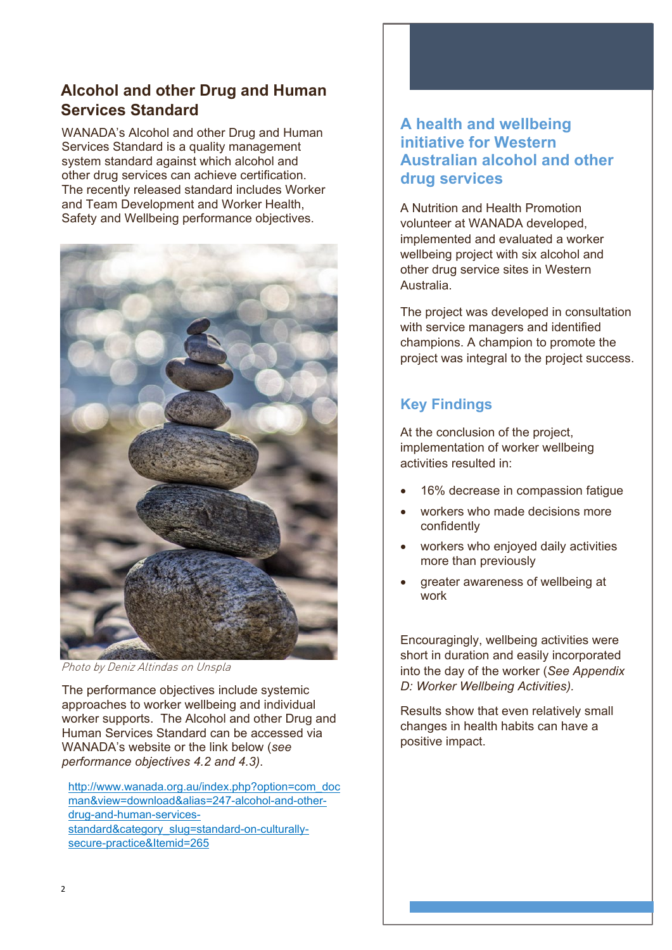### **Alcohol and other Drug and Human Services Standard**

WANADA's Alcohol and other Drug and Human Services Standard is a quality management system standard against which alcohol and other drug services can achieve certification. The recently released standard includes Worker and Team Development and Worker Health, Safety and Wellbeing performance objectives.



Photo by Deniz Altindas on Unspla

The performance objectives include systemic approaches to worker wellbeing and individual worker supports. The Alcohol and other Drug and Human Services Standard can be accessed via WANADA's website or the link below (*see performance objectives 4.2 and 4.3)*.

http://www.wanada.org.au/index.php?option=com\_doc man&view=download&alias=247-alcohol-and-otherdrug-and-human-servicesstandard&category\_slug=standard-on-culturallysecure-practice&Itemid=265

### **A health and wellbeing initiative for Western Australian alcohol and other drug services**

A Nutrition and Health Promotion volunteer at WANADA developed, implemented and evaluated a worker wellbeing project with six alcohol and other drug service sites in Western Australia.

The project was developed in consultation with service managers and identified champions. A champion to promote the project was integral to the project success.

# **Key Findings**

At the conclusion of the project, implementation of worker wellbeing activities resulted in:

- 16% decrease in compassion fatigue
- workers who made decisions more confidently
- workers who enjoyed daily activities more than previously
- greater awareness of wellbeing at work

Encouragingly, wellbeing activities were short in duration and easily incorporated into the day of the worker (*See Appendix D: Worker Wellbeing Activities).*

Results show that even relatively small changes in health habits can have a positive impact.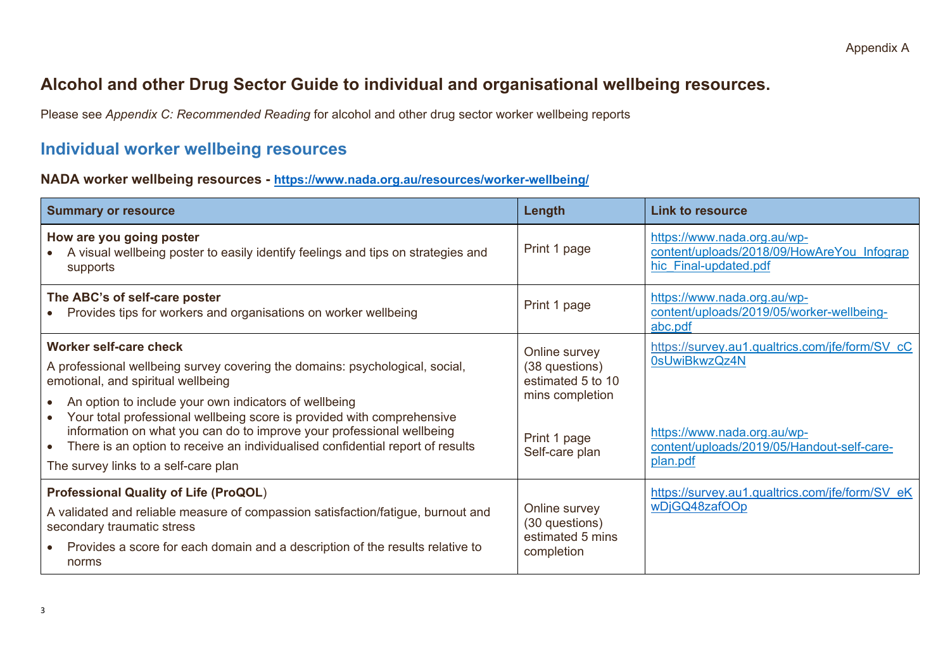## **Alcohol and other Drug Sector Guide to individual and organisational wellbeing resources.**

Please see *Appendix C: Recommended Reading* for alcohol and other drug sector worker wellbeing reports

## **Individual worker wellbeing resources**

#### **NADA worker wellbeing resources -<https://www.nada.org.au/resources/worker-wellbeing/>**

| <b>Summary or resource</b>                                                                                                                                                                                                                                                                                                                                                                                                                                                                             | Length                                                                                                    | <b>Link to resource</b>                                                                                                                                   |
|--------------------------------------------------------------------------------------------------------------------------------------------------------------------------------------------------------------------------------------------------------------------------------------------------------------------------------------------------------------------------------------------------------------------------------------------------------------------------------------------------------|-----------------------------------------------------------------------------------------------------------|-----------------------------------------------------------------------------------------------------------------------------------------------------------|
| How are you going poster<br>A visual wellbeing poster to easily identify feelings and tips on strategies and<br>supports                                                                                                                                                                                                                                                                                                                                                                               | Print 1 page                                                                                              | https://www.nada.org.au/wp-<br>content/uploads/2018/09/HowAreYou Infograp<br>hic Final-updated.pdf                                                        |
| The ABC's of self-care poster<br>Provides tips for workers and organisations on worker wellbeing                                                                                                                                                                                                                                                                                                                                                                                                       | Print 1 page                                                                                              | https://www.nada.org.au/wp-<br>content/uploads/2019/05/worker-wellbeing-<br>abc.pdf                                                                       |
| <b>Worker self-care check</b><br>A professional wellbeing survey covering the domains: psychological, social,<br>emotional, and spiritual wellbeing<br>An option to include your own indicators of wellbeing<br>Your total professional wellbeing score is provided with comprehensive<br>$\bullet$<br>information on what you can do to improve your professional wellbeing<br>There is an option to receive an individualised confidential report of results<br>The survey links to a self-care plan | Online survey<br>(38 questions)<br>estimated 5 to 10<br>mins completion<br>Print 1 page<br>Self-care plan | https://survey.au1.qualtrics.com/jfe/form/SV cC<br>0sUwiBkwzQz4N<br>https://www.nada.org.au/wp-<br>content/uploads/2019/05/Handout-self-care-<br>plan.pdf |
| <b>Professional Quality of Life (ProQOL)</b><br>A validated and reliable measure of compassion satisfaction/fatigue, burnout and<br>secondary traumatic stress<br>Provides a score for each domain and a description of the results relative to<br>$\bullet$<br>norms                                                                                                                                                                                                                                  | Online survey<br>(30 questions)<br>estimated 5 mins<br>completion                                         | https://survey.au1.qualtrics.com/jfe/form/SV eK<br>wDjGQ48zafOOp                                                                                          |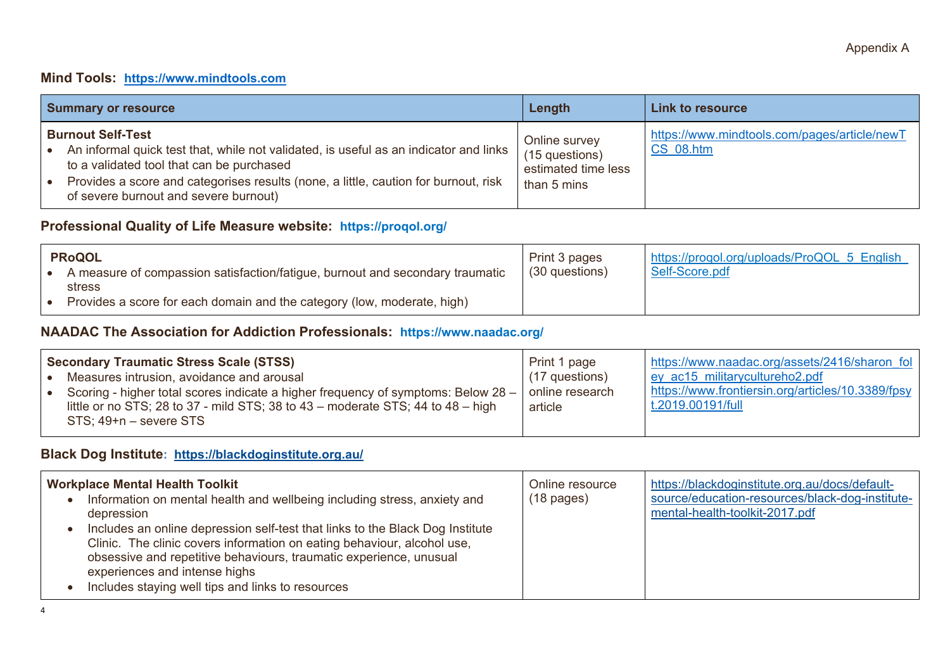#### **Mind Tools: [https://www.mindtools.com](https://www.mindtools.com/)**

| <b>Summary or resource</b>                                                                                                                                                                                                                                                                                   | Length                                                                | Link to resource                                                 |  |  |  |
|--------------------------------------------------------------------------------------------------------------------------------------------------------------------------------------------------------------------------------------------------------------------------------------------------------------|-----------------------------------------------------------------------|------------------------------------------------------------------|--|--|--|
| <b>Burnout Self-Test</b><br>An informal quick test that, while not validated, is useful as an indicator and links<br>l e<br>to a validated tool that can be purchased<br>Provides a score and categorises results (none, a little, caution for burnout, risk<br>l e<br>of severe burnout and severe burnout) | Online survey<br>(15 questions)<br>estimated time less<br>than 5 mins | https://www.mindtools.com/pages/article/newT<br><b>CS 08.htm</b> |  |  |  |

### **Professional Quality of Life Measure website: <https://proqol.org/>**

| <b>PRoQOL</b> |                                                                               | Print 3 pages    | https://progol.org/uploads/ProQOL 5 English |  |  |  |
|---------------|-------------------------------------------------------------------------------|------------------|---------------------------------------------|--|--|--|
|               | A measure of compassion satisfaction/fatigue, burnout and secondary traumatic | $(30$ questions) | Self-Score.pdf                              |  |  |  |
|               | stress                                                                        |                  |                                             |  |  |  |
|               | Provides a score for each domain and the category (low, moderate, high)       |                  |                                             |  |  |  |

### **NAADAC The Association for Addiction Professionals: https://www.naadac.org/**

| <b>Secondary Traumatic Stress Scale (STSS)</b> |                                                                                                                                                                                                       | Print 1 page               | https://www.naadac.org/assets/2416/sharon_fol                          |
|------------------------------------------------|-------------------------------------------------------------------------------------------------------------------------------------------------------------------------------------------------------|----------------------------|------------------------------------------------------------------------|
|                                                | Measures intrusion, avoidance and arousal                                                                                                                                                             | $(17$ questions)           | ey ac15 militarycultureho2.pdf                                         |
|                                                | Scoring - higher total scores indicate a higher frequency of symptoms: Below 28 –<br>little or no STS; 28 to 37 - mild STS; 38 to $43$ – moderate STS; 44 to $48$ – high<br>$STS$ ; 49+n – severe STS | online research<br>article | https://www.frontiersin.org/articles/10.3389/fpsy<br>t.2019.00191/full |

### **Black Dog Institute: <https://blackdoginstitute.org.au/>**

| <b>Workplace Mental Health Toolkit</b><br>Information on mental health and wellbeing including stress, anxiety and<br>depression<br>Includes an online depression self-test that links to the Black Dog Institute<br>Clinic. The clinic covers information on eating behaviour, alcohol use,<br>obsessive and repetitive behaviours, traumatic experience, unusual<br>experiences and intense highs<br>Includes staying well tips and links to resources | Online resource<br>$(18 \text{ pages})$ | https://blackdoginstitute.org.au/docs/default-<br>source/education-resources/black-dog-institute-<br>mental-health-toolkit-2017.pdf |
|----------------------------------------------------------------------------------------------------------------------------------------------------------------------------------------------------------------------------------------------------------------------------------------------------------------------------------------------------------------------------------------------------------------------------------------------------------|-----------------------------------------|-------------------------------------------------------------------------------------------------------------------------------------|
|----------------------------------------------------------------------------------------------------------------------------------------------------------------------------------------------------------------------------------------------------------------------------------------------------------------------------------------------------------------------------------------------------------------------------------------------------------|-----------------------------------------|-------------------------------------------------------------------------------------------------------------------------------------|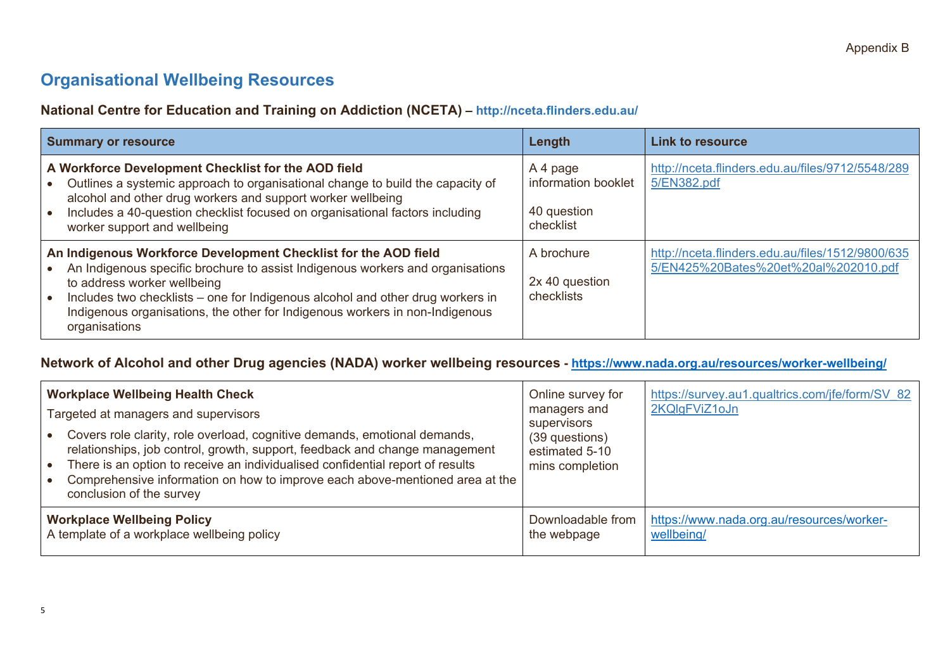# **Organisational Wellbeing Resources**

### **National Centre for Education and Training on Addiction (NCETA) – http://nceta.flinders.edu.au/**

| <b>Summary or resource</b>                                                                                                                                                                                                                                                                                                                                          | Length                                                      | <b>Link to resource</b>                                                                  |
|---------------------------------------------------------------------------------------------------------------------------------------------------------------------------------------------------------------------------------------------------------------------------------------------------------------------------------------------------------------------|-------------------------------------------------------------|------------------------------------------------------------------------------------------|
| A Workforce Development Checklist for the AOD field<br>Outlines a systemic approach to organisational change to build the capacity of<br>alcohol and other drug workers and support worker wellbeing<br>Includes a 40-question checklist focused on organisational factors including<br>worker support and wellbeing                                                | A 4 page<br>information booklet<br>40 question<br>checklist | http://nceta.flinders.edu.au/files/9712/5548/289<br>5/EN382.pdf                          |
| An Indigenous Workforce Development Checklist for the AOD field<br>An Indigenous specific brochure to assist Indigenous workers and organisations<br>to address worker wellbeing<br>Includes two checklists – one for Indigenous alcohol and other drug workers in<br>Indigenous organisations, the other for Indigenous workers in non-Indigenous<br>organisations | A brochure<br>2x 40 question<br>checklists                  | http://nceta.flinders.edu.au/files/1512/9800/635<br>5/EN425%20Bates%20et%20al%202010.pdf |

### **Network of Alcohol and other Drug agencies (NADA) worker wellbeing resources -<https://www.nada.org.au/resources/worker-wellbeing/>**

|                                            | <b>Workplace Wellbeing Health Check</b><br>Targeted at managers and supervisors<br>Covers role clarity, role overload, cognitive demands, emotional demands,<br>relationships, job control, growth, support, feedback and change management<br>There is an option to receive an individualised confidential report of results<br>Comprehensive information on how to improve each above-mentioned area at the<br>conclusion of the survey | Online survey for<br>managers and<br><b>Supervisors</b><br>(39 questions)<br>estimated 5-10<br>mins completion | https://survey.au1.qualtrics.com/jfe/form/SV 82<br>2KQIgFViZ1oJn |
|--------------------------------------------|-------------------------------------------------------------------------------------------------------------------------------------------------------------------------------------------------------------------------------------------------------------------------------------------------------------------------------------------------------------------------------------------------------------------------------------------|----------------------------------------------------------------------------------------------------------------|------------------------------------------------------------------|
| <b>Workplace Wellbeing Policy</b>          |                                                                                                                                                                                                                                                                                                                                                                                                                                           | Downloadable from                                                                                              | https://www.nada.org.au/resources/worker-                        |
| A template of a workplace wellbeing policy |                                                                                                                                                                                                                                                                                                                                                                                                                                           | the webpage                                                                                                    | wellbeing/                                                       |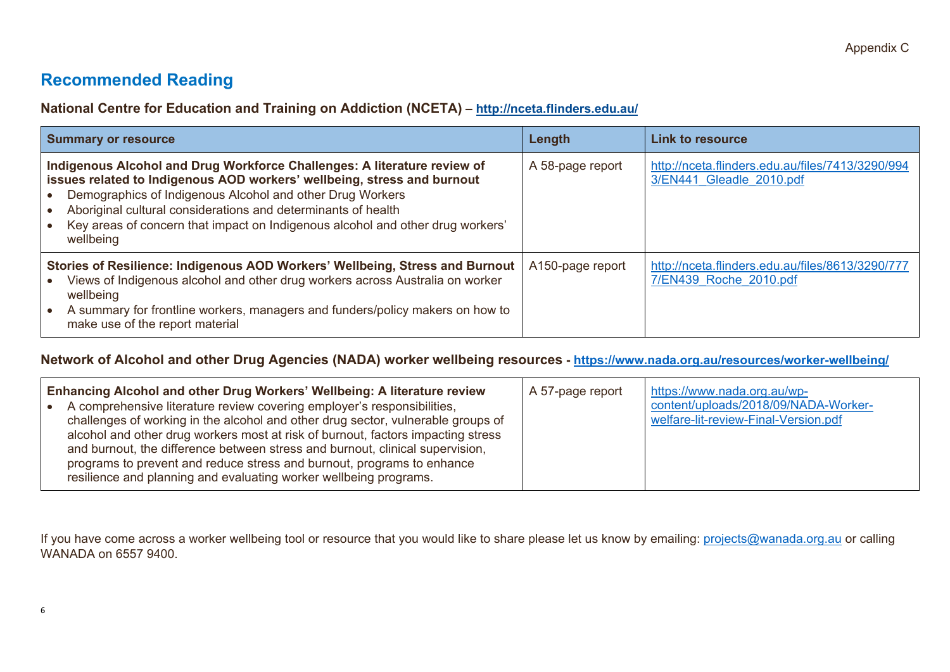## **Recommended Reading**

**National Centre for Education and Training on Addiction (NCETA) – http://nceta.flinders.edu.au/**

| <b>Summary or resource</b>                                                                                                                                                                                                                                                                                                                                                       | Length           | <b>Link to resource</b>                                                      |  |  |  |
|----------------------------------------------------------------------------------------------------------------------------------------------------------------------------------------------------------------------------------------------------------------------------------------------------------------------------------------------------------------------------------|------------------|------------------------------------------------------------------------------|--|--|--|
| Indigenous Alcohol and Drug Workforce Challenges: A literature review of<br>issues related to Indigenous AOD workers' wellbeing, stress and burnout<br>Demographics of Indigenous Alcohol and other Drug Workers<br>Aboriginal cultural considerations and determinants of health<br>Key areas of concern that impact on Indigenous alcohol and other drug workers'<br>wellbeing | A 58-page report | http://nceta.flinders.edu.au/files/7413/3290/994<br>3/EN441 Gleadle 2010.pdf |  |  |  |
| Stories of Resilience: Indigenous AOD Workers' Wellbeing, Stress and Burnout<br>Views of Indigenous alcohol and other drug workers across Australia on worker<br>wellbeing<br>A summary for frontline workers, managers and funders/policy makers on how to<br>make use of the report material                                                                                   | A150-page report | http://nceta.flinders.edu.au/files/8613/3290/777<br>7/EN439 Roche 2010.pdf   |  |  |  |

#### **Network of Alcohol and other Drug Agencies (NADA) worker wellbeing resources -<https://www.nada.org.au/resources/worker-wellbeing/>**

| Enhancing Alcohol and other Drug Workers' Wellbeing: A literature review<br>A comprehensive literature review covering employer's responsibilities,<br>challenges of working in the alcohol and other drug sector, vulnerable groups of<br>alcohol and other drug workers most at risk of burnout, factors impacting stress<br>and burnout, the difference between stress and burnout, clinical supervision,<br>programs to prevent and reduce stress and burnout, programs to enhance<br>resilience and planning and evaluating worker wellbeing programs. | https://www.nada.org.au/wp-<br>A 57-page report<br>content/uploads/2018/09/NADA-Worker-<br>welfare-lit-review-Final-Version.pdf |  |
|-------------------------------------------------------------------------------------------------------------------------------------------------------------------------------------------------------------------------------------------------------------------------------------------------------------------------------------------------------------------------------------------------------------------------------------------------------------------------------------------------------------------------------------------------------------|---------------------------------------------------------------------------------------------------------------------------------|--|
|-------------------------------------------------------------------------------------------------------------------------------------------------------------------------------------------------------------------------------------------------------------------------------------------------------------------------------------------------------------------------------------------------------------------------------------------------------------------------------------------------------------------------------------------------------------|---------------------------------------------------------------------------------------------------------------------------------|--|

If you have come across a worker wellbeing tool or resource that you would like to share please let us know by emailing: [projects@wanada.org.au](mailto:projects@wanada.org.au) or calling WANADA on 6557 9400.